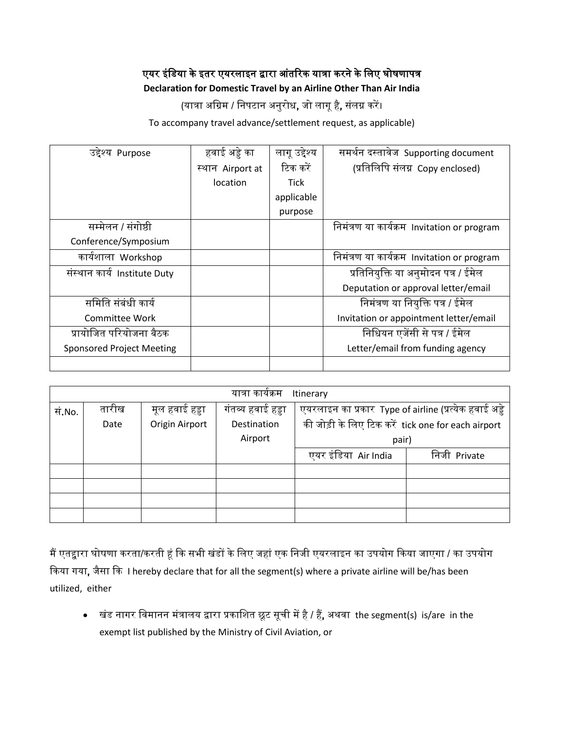## एयर इंडिया के इतर एयरलाइन द्वारा आंतररक यात्रा करने के डलए घोषणापत्र

## **Declaration for Domestic Travel by an Airline Other Than Air India**

(यात्रा अग्रिम / निपटान अनुरोध, जो लागू है, संलग्न करें।

To accompany travel advance/settlement request, as applicable)

| उद्देश्य Purpose                 | हवाई अड़े का     | लागू उद्देश्य | समर्थन दस्तावेज Supporting document         |  |
|----------------------------------|------------------|---------------|---------------------------------------------|--|
|                                  | स्थान Airport at | टिक करें      | (प्रतिलिपि संलग्न Copy enclosed)            |  |
|                                  | location         | <b>Tick</b>   |                                             |  |
|                                  |                  | applicable    |                                             |  |
|                                  |                  | purpose       |                                             |  |
| सम्मेलन / संगोष्ठी               |                  |               | निमंत्रण या कार्यक्रम Invitation or program |  |
| Conference/Symposium             |                  |               |                                             |  |
| कार्यशाला Workshop               |                  |               | निमंत्रण या कार्यक्रम Invitation or program |  |
| संस्थान कार्य Institute Duty     |                  |               | प्रतिनियुक्ति या अनुमोदन पत्र / ईमेल        |  |
|                                  |                  |               | Deputation or approval letter/email         |  |
| समिति संबंधी कार्य               |                  |               | निमंत्रण या नियुक्ति पत्र / ईमेल            |  |
| Committee Work                   |                  |               | Invitation or appointment letter/email      |  |
| प्रायोजित परियोजना बैठक          |                  |               | निधियन एजेंसी से पत्र / ईमेल                |  |
| <b>Sponsored Project Meeting</b> |                  |               | Letter/email from funding agency            |  |
|                                  |                  |               |                                             |  |

| यात्रा कार्यक्रम<br>Itinerary |       |                |                   |                                                         |              |  |  |  |  |
|-------------------------------|-------|----------------|-------------------|---------------------------------------------------------|--------------|--|--|--|--|
| सं.No.                        | तारीख | मूल हवाई हड्डा | गंतव्य हवाई हड्डा | एयरलाइन का प्रकार  Type of airline (प्रत्येक हवाई अड्डे |              |  |  |  |  |
|                               | Date  | Origin Airport | Destination       | की जोड़ी के लिए टिक करें tick one for each airport      |              |  |  |  |  |
|                               |       |                | Airport           | pair)                                                   |              |  |  |  |  |
|                               |       |                |                   | एयर इंडिया Air India                                    | निजी Private |  |  |  |  |
|                               |       |                |                   |                                                         |              |  |  |  |  |
|                               |       |                |                   |                                                         |              |  |  |  |  |
|                               |       |                |                   |                                                         |              |  |  |  |  |
|                               |       |                |                   |                                                         |              |  |  |  |  |

मैं एतद्वारा घोषणा करता/करती हूं कि सभी खंडों के लिए जहां एक निजी एयरलाइन का उपयोग किया जाएगा / का उपयोग ककया गया, जैसा कक I hereby declare that for all the segment(s) where a private airline will be/has been utilized, either

• खंड नागर विमानन मंत्रालय द्वारा प्रकाशित छूट सूची में है / हैं, अथवा the segment(s) is/are in the exempt list published by the Ministry of Civil Aviation, or